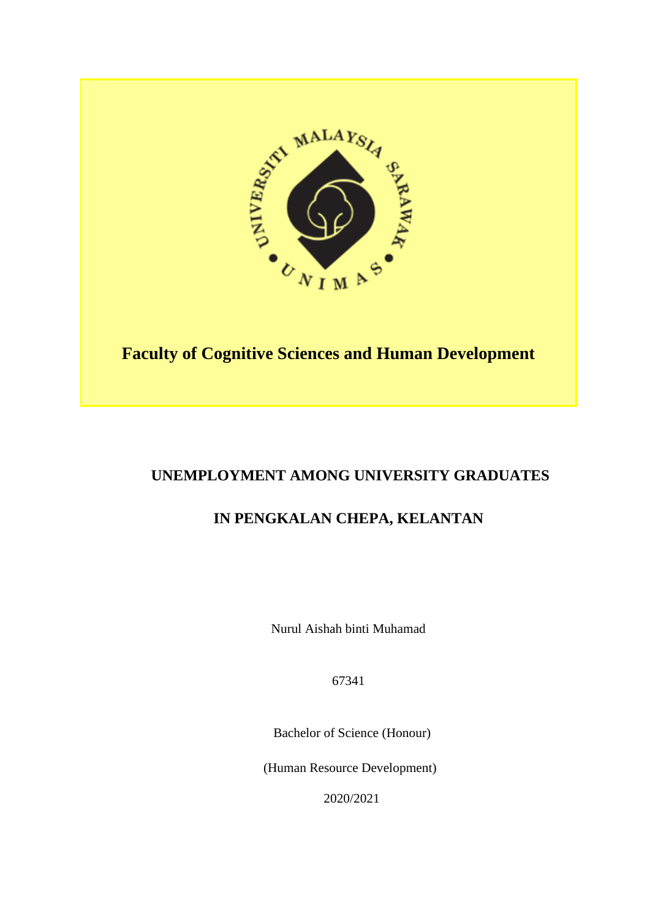

# **Faculty of Cognitive Sciences and Human Development**

# **UNEMPLOYMENT AMONG UNIVERSITY GRADUATES**

# **IN PENGKALAN CHEPA, KELANTAN**

Nurul Aishah binti Muhamad

67341

Bachelor of Science (Honour)

(Human Resource Development)

2020/2021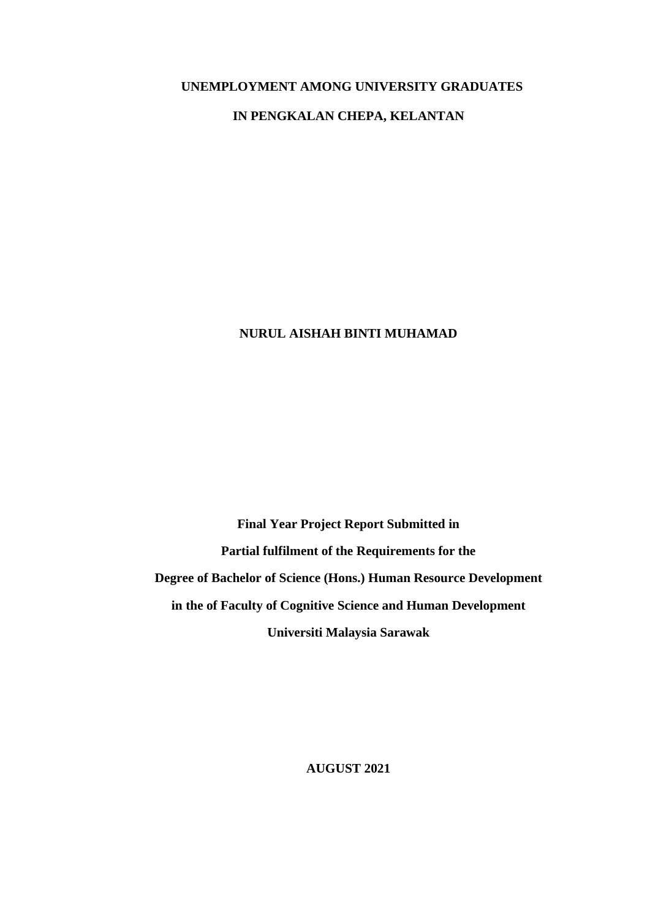### **UNEMPLOYMENT AMONG UNIVERSITY GRADUATES**

## **IN PENGKALAN CHEPA, KELANTAN**

## **NURUL AISHAH BINTI MUHAMAD**

**Final Year Project Report Submitted in Partial fulfilment of the Requirements for the Degree of Bachelor of Science (Hons.) Human Resource Development in the of Faculty of Cognitive Science and Human Development Universiti Malaysia Sarawak** 

**AUGUST 2021**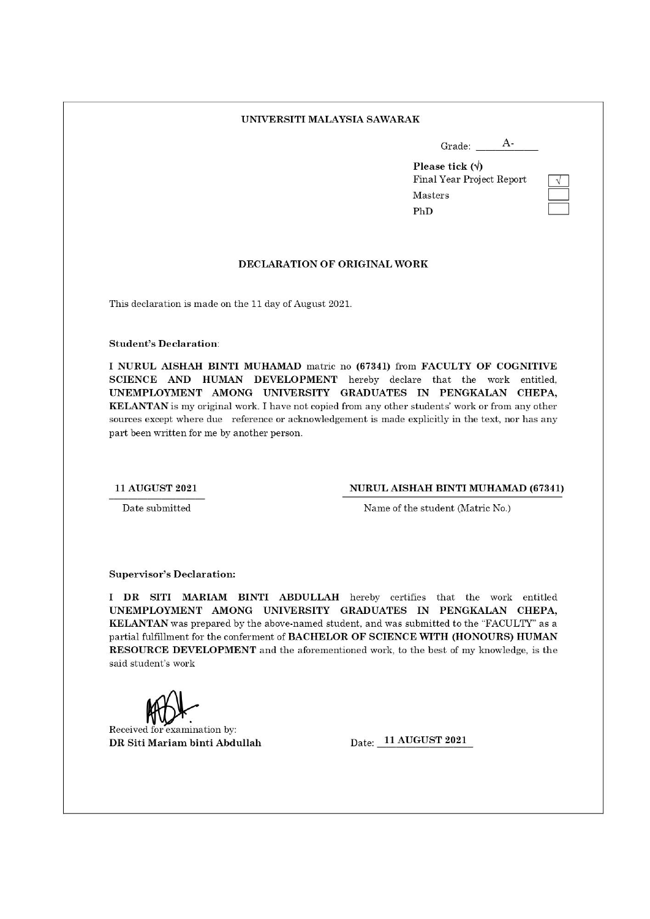#### UNIVERSITI MALAYSIA SAWARAK

| Grade: |  |
|--------|--|

Please tick  $(\sqrt{})$ Final Year Project Report Masters PhD

#### DECLARATION OF ORIGINAL WORK

This declaration is made on the 11 day of August 2021.

**Student's Declaration:** 

I NURUL AISHAH BINTI MUHAMAD matric no (67341) from FACULTY OF COGNITIVE SCIENCE AND HUMAN DEVELOPMENT hereby declare that the work entitled, UNEMPLOYMENT AMONG UNIVERSITY GRADUATES IN PENGKALAN CHEPA, KELANTAN is my original work. I have not copied from any other students' work or from any other sources except where due reference or acknowledgement is made explicitly in the text, nor has any part been written for me by another person.

#### **11 AUGUST 2021**

#### NURUL AISHAH BINTI MUHAMAD (67341)

Date submitted

Name of the student (Matric No.)

**Supervisor's Declaration:** 

I DR SITI MARIAM BINTI ABDULLAH hereby certifies that the work entitled UNEMPLOYMENT AMONG UNIVERSITY GRADUATES IN PENGKALAN CHEPA. KELANTAN was prepared by the above-named student, and was submitted to the "FACULTY" as a partial fulfillment for the conferment of BACHELOR OF SCIENCE WITH (HONOURS) HUMAN RESOURCE DEVELOPMENT and the aforementioned work, to the best of my knowledge, is the said student's work

Received for examination by: DR Siti Mariam binti Abdullah

Date: 11 AUGUST 2021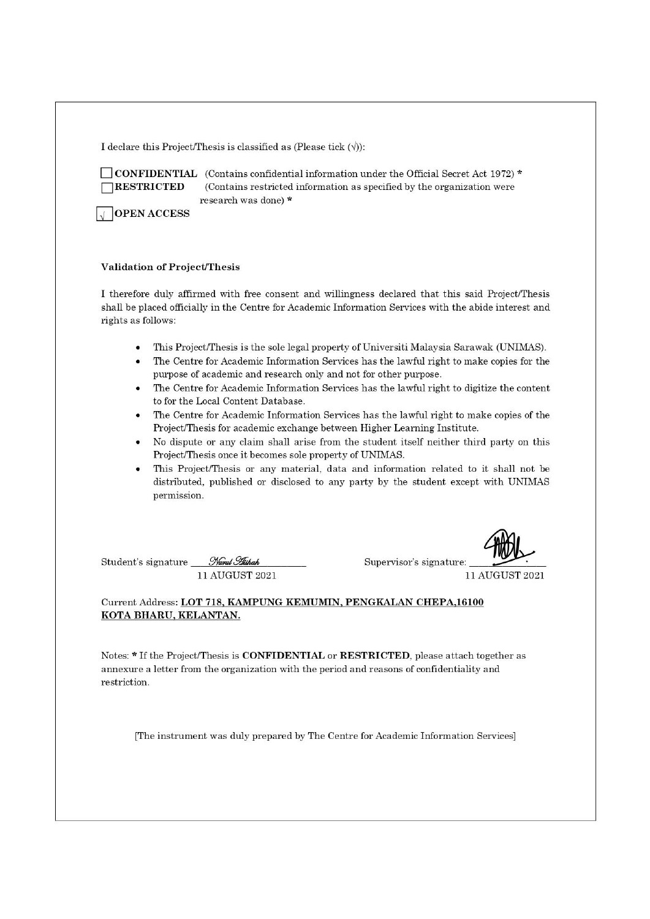I declare this Project/Thesis is classified as (Please tick  $(\forall)$ ):

**TRESTRICTED** 

CONFIDENTIAL (Contains confidential information under the Official Secret Act 1972) \* (Contains restricted information as specified by the organization were research was done) \*

 $\sqrt{\ }$  OPEN ACCESS

#### **Validation of Project/Thesis**

I therefore duly affirmed with free consent and willingness declared that this said Project/Thesis shall be placed officially in the Centre for Academic Information Services with the abide interest and rights as follows:

- This Project/Thesis is the sole legal property of Universiti Malaysia Sarawak (UNIMAS).
- The Centre for Academic Information Services has the lawful right to make copies for the purpose of academic and research only and not for other purpose.
- The Centre for Academic Information Services has the lawful right to digitize the content to for the Local Content Database.
- The Centre for Academic Information Services has the lawful right to make copies of the Project/Thesis for academic exchange between Higher Learning Institute.
- No dispute or any claim shall arise from the student itself neither third party on this Project/Thesis once it becomes sole property of UNIMAS.
- This Project/Thesis or any material, data and information related to it shall not be distributed, published or disclosed to any party by the student except with UNIMAS permission.

Nurul Hishah Student's signature 11 AUGUST 2021 Supervisor's signature:

11 AUGUST 2021

#### Current Address: LOT 718, KAMPUNG KEMUMIN, PENGKALAN CHEPA,16100 KOTA BHARU, KELANTAN.

Notes: \* If the Project/Thesis is CONFIDENTIAL or RESTRICTED, please attach together as annexure a letter from the organization with the period and reasons of confidentiality and restriction

[The instrument was duly prepared by The Centre for Academic Information Services]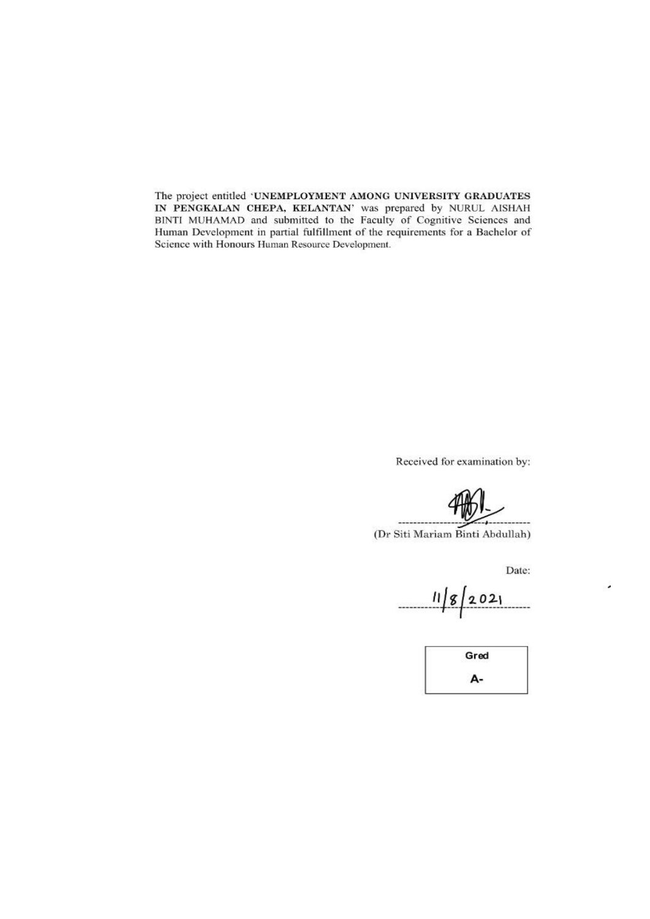The project entitled 'UNEMPLOYMENT AMONG UNIVERSITY GRADUATES<br>IN PENGKALAN CHEPA, KELANTAN' was prepared by NURUL AISHAH<br>BINTI MUHAMAD and submitted to the Faculty of Cognitive Sciences and<br>Human Development in partial ful Science with Honours Human Resource Development.

Received for examination by:

(Dr Siti Mariam Binti Abdullah)

Date:

٠

 $11/8/2021$ 

Gred А-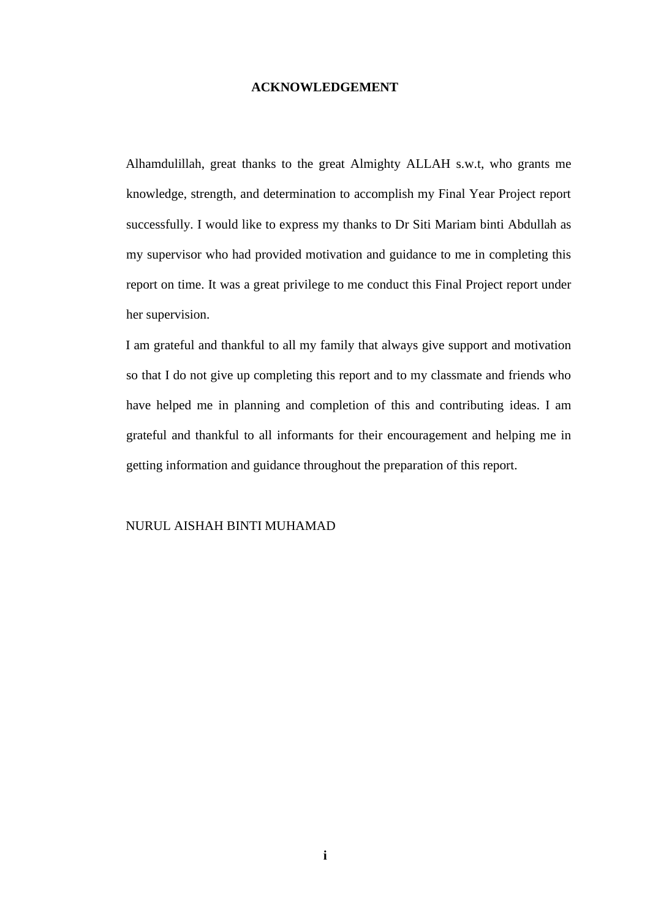#### **ACKNOWLEDGEMENT**

<span id="page-5-0"></span>Alhamdulillah, great thanks to the great Almighty ALLAH s.w.t, who grants me knowledge, strength, and determination to accomplish my Final Year Project report successfully. I would like to express my thanks to Dr Siti Mariam binti Abdullah as my supervisor who had provided motivation and guidance to me in completing this report on time. It was a great privilege to me conduct this Final Project report under her supervision.

I am grateful and thankful to all my family that always give support and motivation so that I do not give up completing this report and to my classmate and friends who have helped me in planning and completion of this and contributing ideas. I am grateful and thankful to all informants for their encouragement and helping me in getting information and guidance throughout the preparation of this report.

#### NURUL AISHAH BINTI MUHAMAD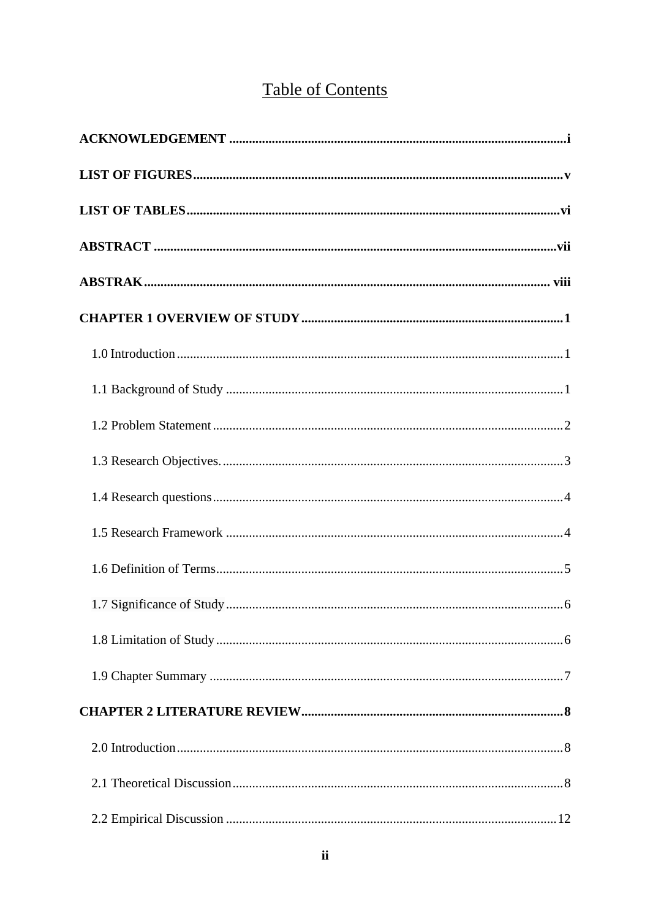# **Table of Contents**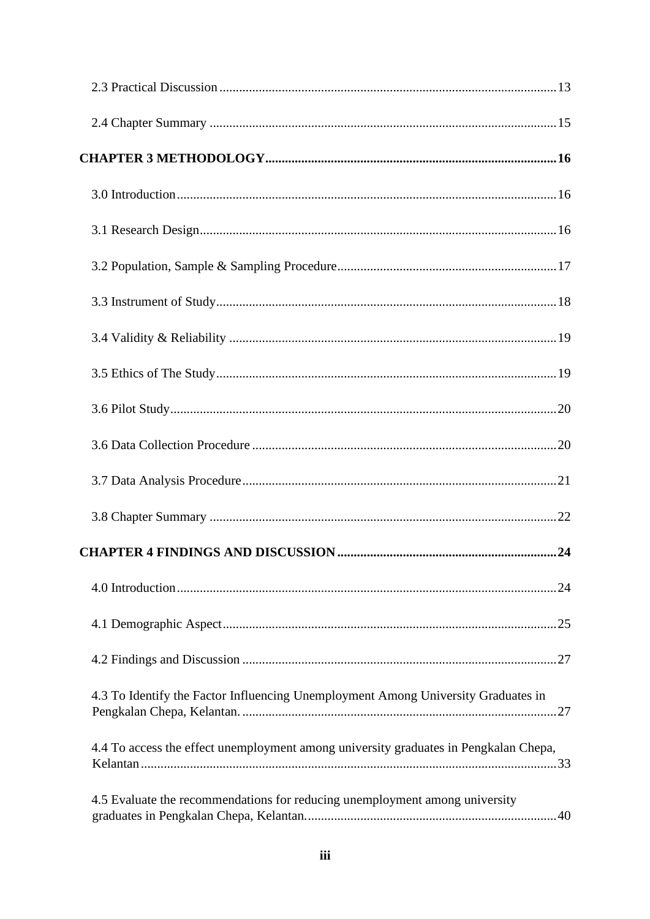| 4.3 To Identify the Factor Influencing Unemployment Among University Graduates in    |
|--------------------------------------------------------------------------------------|
| 4.4 To access the effect unemployment among university graduates in Pengkalan Chepa, |
| 4.5 Evaluate the recommendations for reducing unemployment among university          |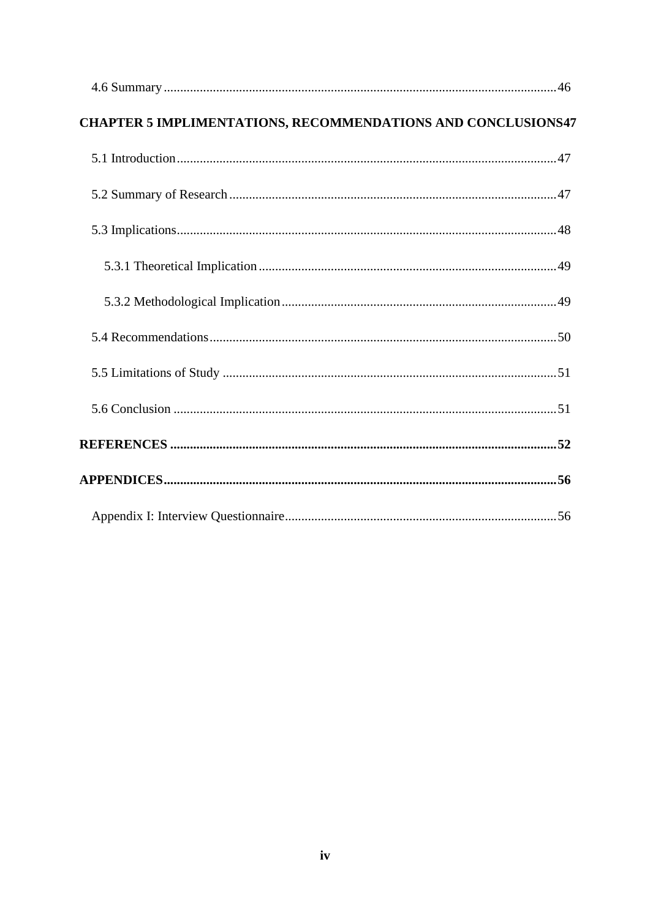| <b>CHAPTER 5 IMPLIMENTATIONS, RECOMMENDATIONS AND CONCLUSIONS47</b> |  |
|---------------------------------------------------------------------|--|
|                                                                     |  |
|                                                                     |  |
|                                                                     |  |
|                                                                     |  |
|                                                                     |  |
|                                                                     |  |
|                                                                     |  |
|                                                                     |  |
|                                                                     |  |
|                                                                     |  |
|                                                                     |  |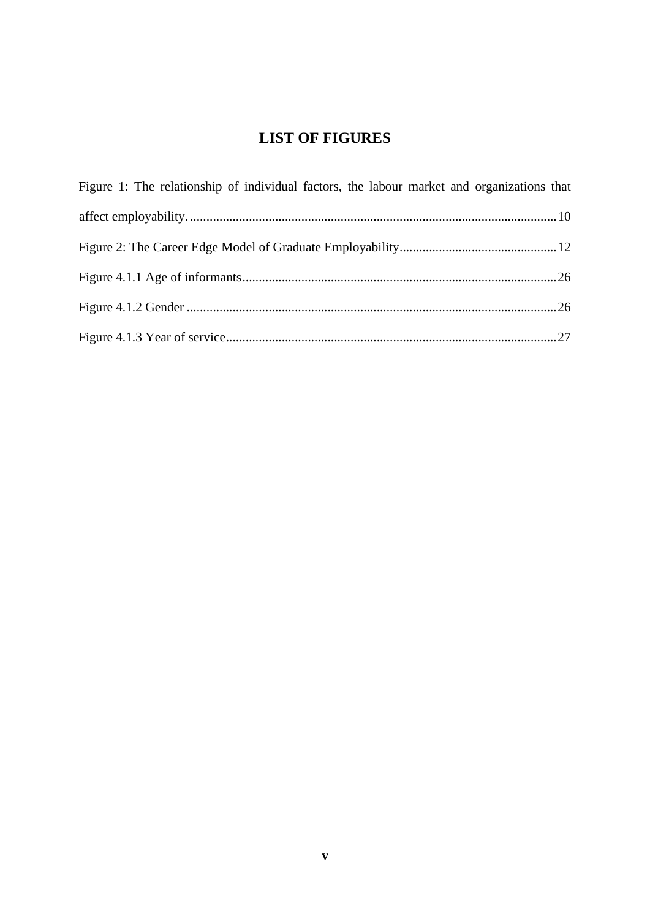# **LIST OF FIGURES**

<span id="page-9-0"></span>

| Figure 1: The relationship of individual factors, the labour market and organizations that |  |
|--------------------------------------------------------------------------------------------|--|
|                                                                                            |  |
|                                                                                            |  |
|                                                                                            |  |
|                                                                                            |  |
|                                                                                            |  |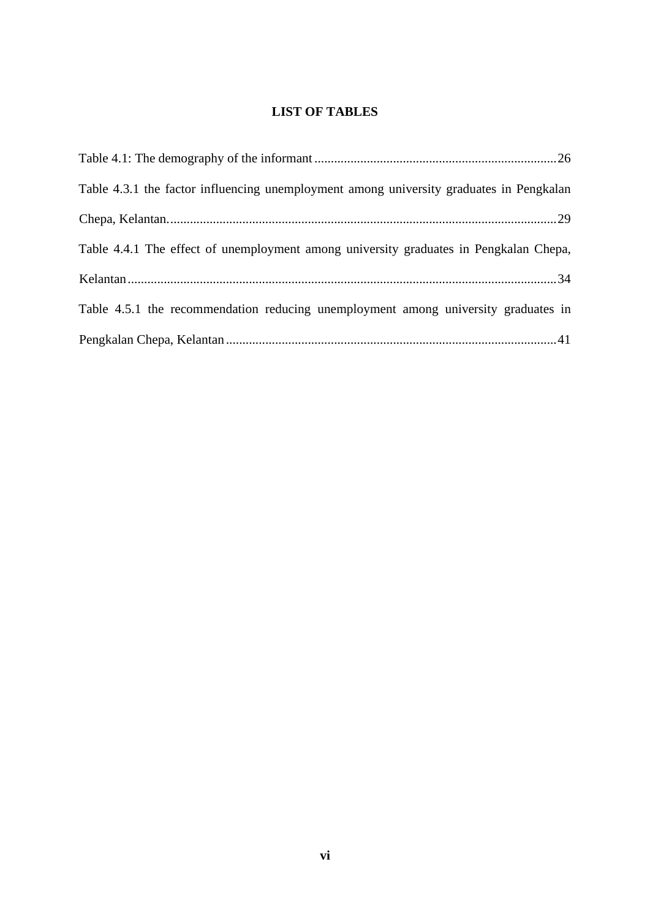## **LIST OF TABLES**

<span id="page-10-0"></span>

| Table 4.3.1 the factor influencing unemployment among university graduates in Pengkalan |  |
|-----------------------------------------------------------------------------------------|--|
|                                                                                         |  |
| Table 4.4.1 The effect of unemployment among university graduates in Pengkalan Chepa,   |  |
|                                                                                         |  |
| Table 4.5.1 the recommendation reducing unemployment among university graduates in      |  |
|                                                                                         |  |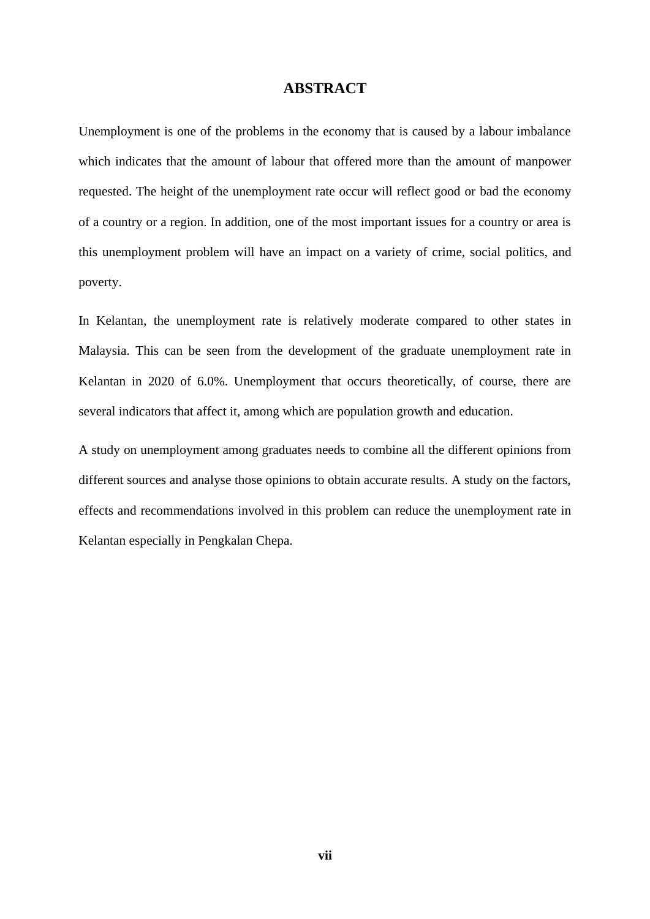### **ABSTRACT**

<span id="page-11-0"></span>Unemployment is one of the problems in the economy that is caused by a labour imbalance which indicates that the amount of labour that offered more than the amount of manpower requested. The height of the unemployment rate occur will reflect good or bad the economy of a country or a region. In addition, one of the most important issues for a country or area is this unemployment problem will have an impact on a variety of crime, social politics, and poverty.

In Kelantan, the unemployment rate is relatively moderate compared to other states in Malaysia. This can be seen from the development of the graduate unemployment rate in Kelantan in 2020 of 6.0%. Unemployment that occurs theoretically, of course, there are several indicators that affect it, among which are population growth and education.

A study on unemployment among graduates needs to combine all the different opinions from different sources and analyse those opinions to obtain accurate results. A study on the factors, effects and recommendations involved in this problem can reduce the unemployment rate in Kelantan especially in Pengkalan Chepa.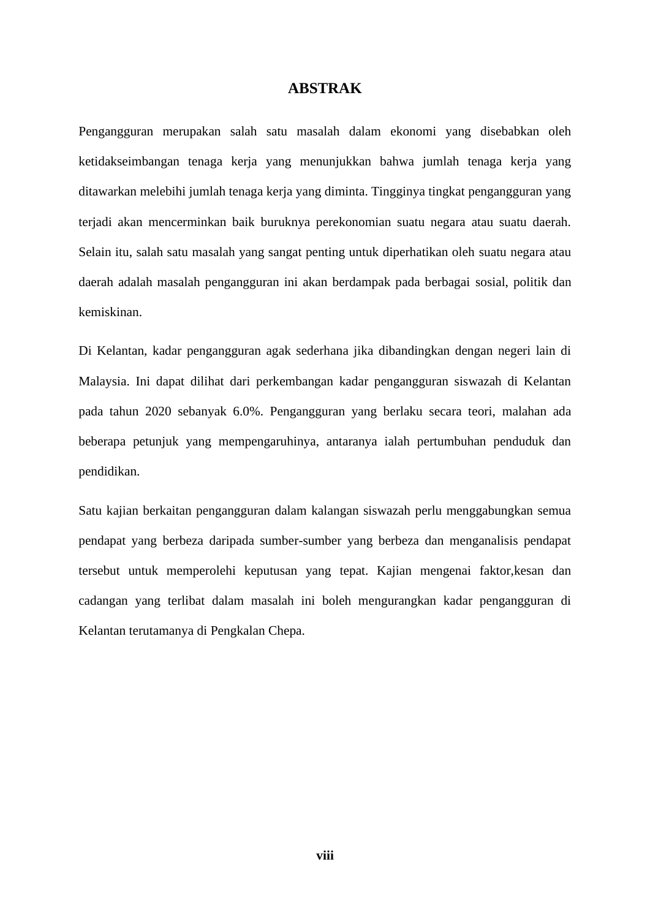### **ABSTRAK**

<span id="page-12-0"></span>Pengangguran merupakan salah satu masalah dalam ekonomi yang disebabkan oleh ketidakseimbangan tenaga kerja yang menunjukkan bahwa jumlah tenaga kerja yang ditawarkan melebihi jumlah tenaga kerja yang diminta. Tingginya tingkat pengangguran yang terjadi akan mencerminkan baik buruknya perekonomian suatu negara atau suatu daerah. Selain itu, salah satu masalah yang sangat penting untuk diperhatikan oleh suatu negara atau daerah adalah masalah pengangguran ini akan berdampak pada berbagai sosial, politik dan kemiskinan.

Di Kelantan, kadar pengangguran agak sederhana jika dibandingkan dengan negeri lain di Malaysia. Ini dapat dilihat dari perkembangan kadar pengangguran siswazah di Kelantan pada tahun 2020 sebanyak 6.0%. Pengangguran yang berlaku secara teori, malahan ada beberapa petunjuk yang mempengaruhinya, antaranya ialah pertumbuhan penduduk dan pendidikan.

Satu kajian berkaitan pengangguran dalam kalangan siswazah perlu menggabungkan semua pendapat yang berbeza daripada sumber-sumber yang berbeza dan menganalisis pendapat tersebut untuk memperolehi keputusan yang tepat. Kajian mengenai faktor,kesan dan cadangan yang terlibat dalam masalah ini boleh mengurangkan kadar pengangguran di Kelantan terutamanya di Pengkalan Chepa.

**viii**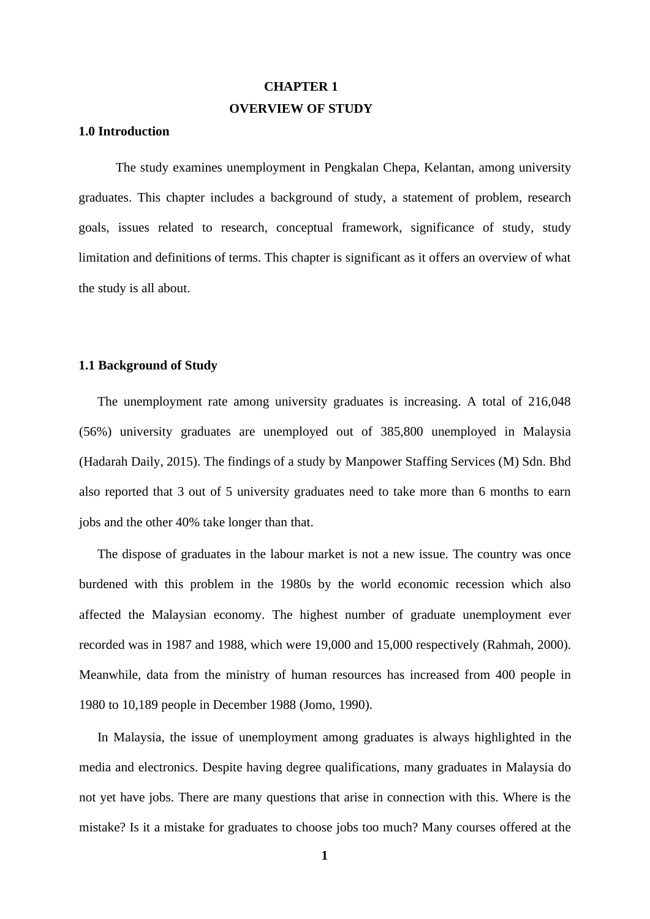# **CHAPTER 1 OVERVIEW OF STUDY**

### <span id="page-13-1"></span><span id="page-13-0"></span>**1.0 Introduction**

The study examines unemployment in Pengkalan Chepa, Kelantan, among university graduates. This chapter includes a background of study, a statement of problem, research goals, issues related to research, conceptual framework, significance of study, study limitation and definitions of terms. This chapter is significant as it offers an overview of what the study is all about.

#### <span id="page-13-2"></span>**1.1 Background of Study**

The unemployment rate among university graduates is increasing. A total of 216,048 (56%) university graduates are unemployed out of 385,800 unemployed in Malaysia (Hadarah Daily, 2015). The findings of a study by Manpower Staffing Services (M) Sdn. Bhd also reported that 3 out of 5 university graduates need to take more than 6 months to earn jobs and the other 40% take longer than that.

The dispose of graduates in the labour market is not a new issue. The country was once burdened with this problem in the 1980s by the world economic recession which also affected the Malaysian economy. The highest number of graduate unemployment ever recorded was in 1987 and 1988, which were 19,000 and 15,000 respectively (Rahmah, 2000). Meanwhile, data from the ministry of human resources has increased from 400 people in 1980 to 10,189 people in December 1988 (Jomo, 1990).

In Malaysia, the issue of unemployment among graduates is always highlighted in the media and electronics. Despite having degree qualifications, many graduates in Malaysia do not yet have jobs. There are many questions that arise in connection with this. Where is the mistake? Is it a mistake for graduates to choose jobs too much? Many courses offered at the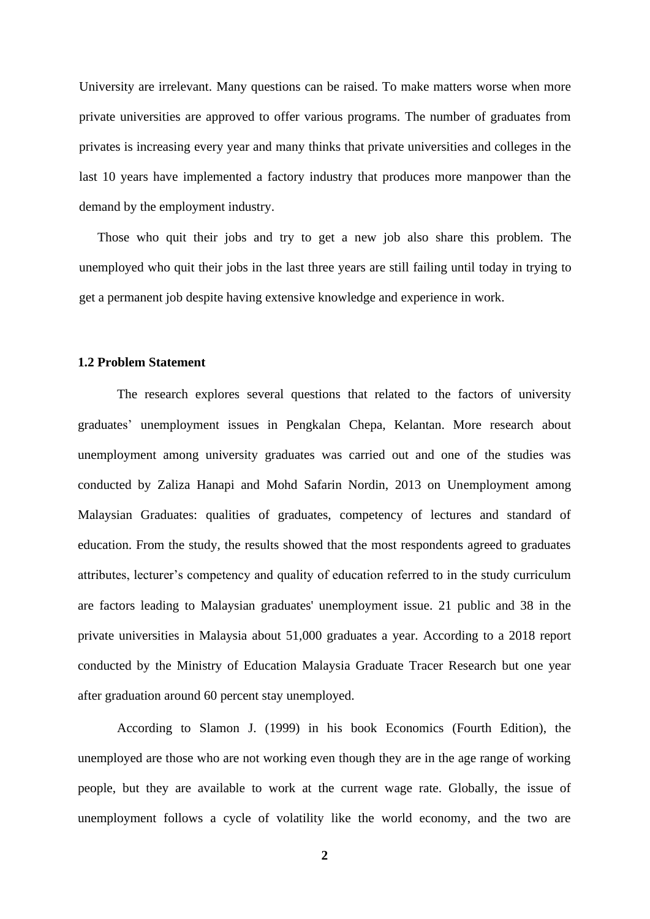University are irrelevant. Many questions can be raised. To make matters worse when more private universities are approved to offer various programs. The number of graduates from privates is increasing every year and many thinks that private universities and colleges in the last 10 years have implemented a factory industry that produces more manpower than the demand by the employment industry.

Those who quit their jobs and try to get a new job also share this problem. The unemployed who quit their jobs in the last three years are still failing until today in trying to get a permanent job despite having extensive knowledge and experience in work.

#### <span id="page-14-0"></span>**1.2 Problem Statement**

The research explores several questions that related to the factors of university graduates' unemployment issues in Pengkalan Chepa, Kelantan. More research about unemployment among university graduates was carried out and one of the studies was conducted by Zaliza Hanapi and Mohd Safarin Nordin, 2013 on Unemployment among Malaysian Graduates: qualities of graduates, competency of lectures and standard of education. From the study, the results showed that the most respondents agreed to graduates attributes, lecturer's competency and quality of education referred to in the study curriculum are factors leading to Malaysian graduates' unemployment issue. 21 public and 38 in the private universities in Malaysia about 51,000 graduates a year. According to a 2018 report conducted by the Ministry of Education Malaysia Graduate Tracer Research but one year after graduation around 60 percent stay unemployed.

According to Slamon J. (1999) in his book Economics (Fourth Edition), the unemployed are those who are not working even though they are in the age range of working people, but they are available to work at the current wage rate. Globally, the issue of unemployment follows a cycle of volatility like the world economy, and the two are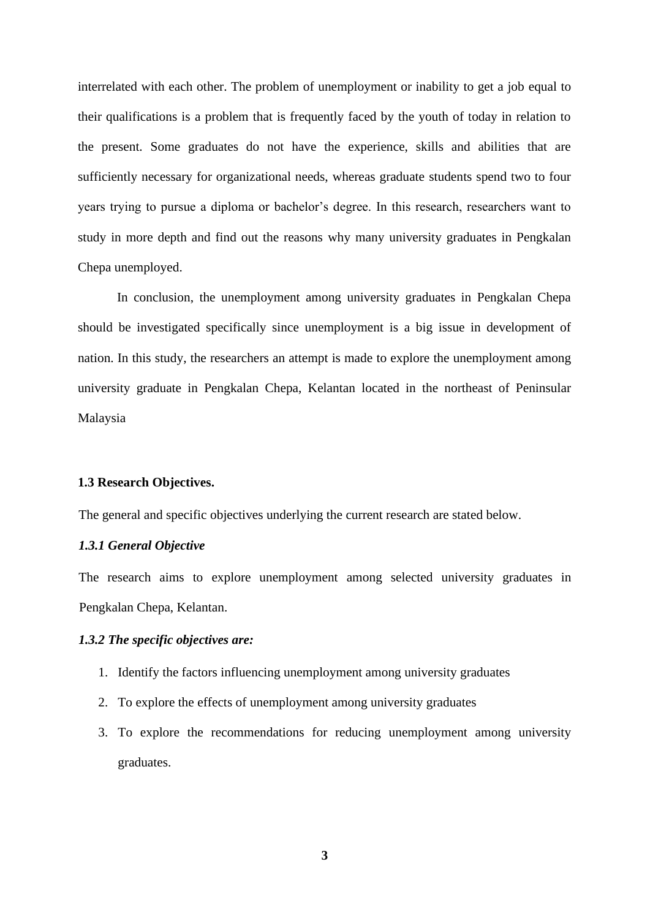interrelated with each other. The problem of unemployment or inability to get a job equal to their qualifications is a problem that is frequently faced by the youth of today in relation to the present. Some graduates do not have the experience, skills and abilities that are sufficiently necessary for organizational needs, whereas graduate students spend two to four years trying to pursue a diploma or bachelor's degree. In this research, researchers want to study in more depth and find out the reasons why many university graduates in Pengkalan Chepa unemployed.

In conclusion, the unemployment among university graduates in Pengkalan Chepa should be investigated specifically since unemployment is a big issue in development of nation. In this study, the researchers an attempt is made to explore the unemployment among university graduate in Pengkalan Chepa, Kelantan located in the northeast of Peninsular Malaysia

#### <span id="page-15-0"></span>**1.3 Research Objectives.**

The general and specific objectives underlying the current research are stated below.

#### *1.3.1 General Objective*

The research aims to explore unemployment among selected university graduates in Pengkalan Chepa, Kelantan.

#### *1.3.2 The specific objectives are:*

- 1. Identify the factors influencing unemployment among university graduates
- 2. To explore the effects of unemployment among university graduates
- 3. To explore the recommendations for reducing unemployment among university graduates.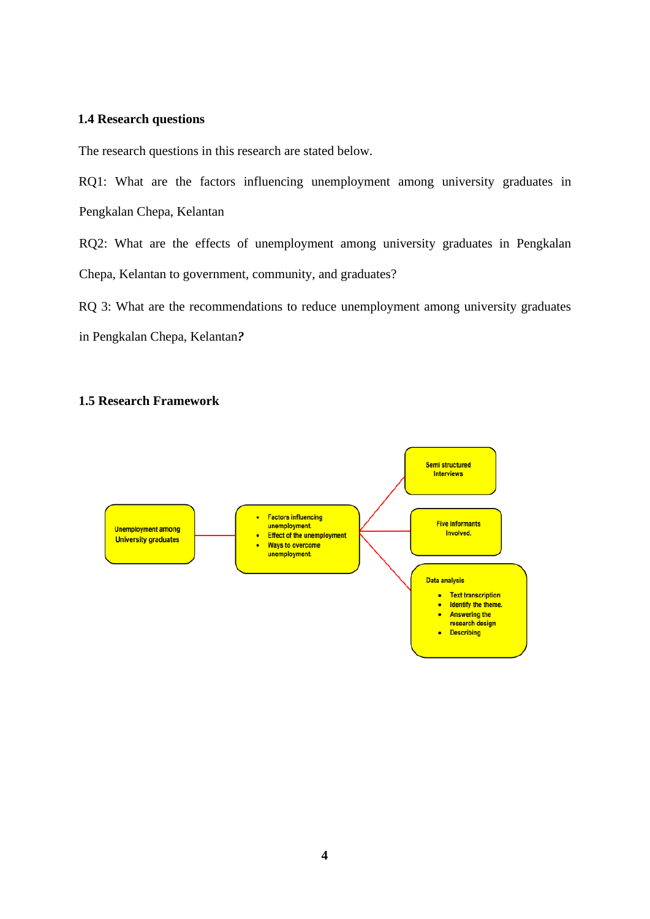### <span id="page-16-0"></span>**1.4 Research questions**

The research questions in this research are stated below.

RQ1: What are the factors influencing unemployment among university graduates in Pengkalan Chepa, Kelantan

RQ2: What are the effects of unemployment among university graduates in Pengkalan Chepa, Kelantan to government, community, and graduates?

RQ 3: What are the recommendations to reduce unemployment among university graduates in Pengkalan Chepa, Kelantan*?*

## <span id="page-16-1"></span>**1.5 Research Framework**

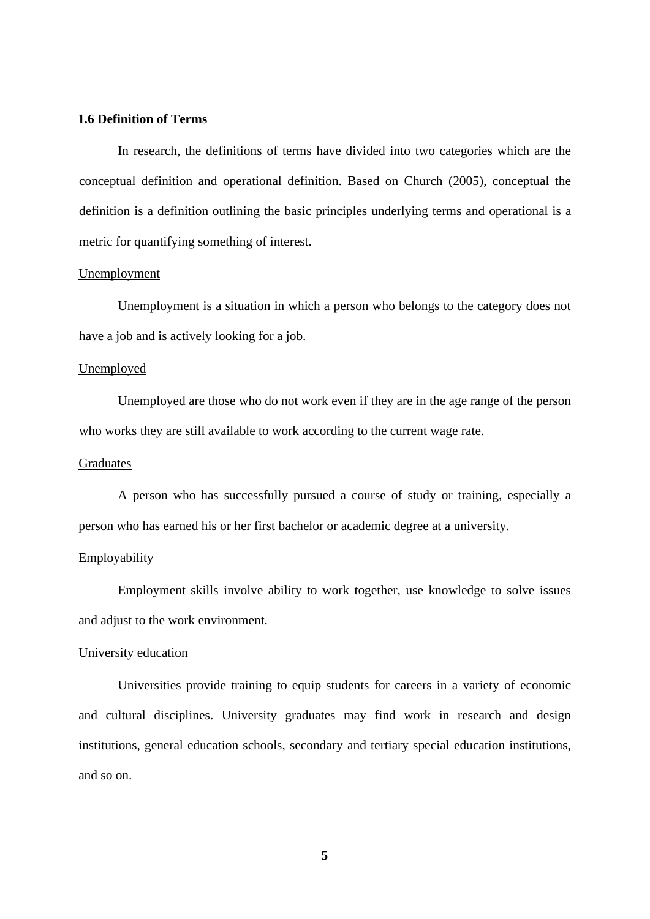### <span id="page-17-0"></span>**1.6 Definition of Terms**

In research, the definitions of terms have divided into two categories which are the conceptual definition and operational definition. Based on Church (2005), conceptual the definition is a definition outlining the basic principles underlying terms and operational is a metric for quantifying something of interest.

### **Unemployment**

Unemployment is a situation in which a person who belongs to the category does not have a job and is actively looking for a job.

### Unemployed

Unemployed are those who do not work even if they are in the age range of the person who works they are still available to work according to the current wage rate.

#### Graduates

A person who has successfully pursued a course of study or training, especially a person who has earned his or her first bachelor or academic degree at a university.

#### Employability

Employment skills involve ability to work together, use knowledge to solve issues and adjust to the work environment.

#### University education

Universities provide training to equip students for careers in a variety of economic and cultural disciplines. University graduates may find work in research and design institutions, general education schools, secondary and tertiary special education institutions, and so on.

**5**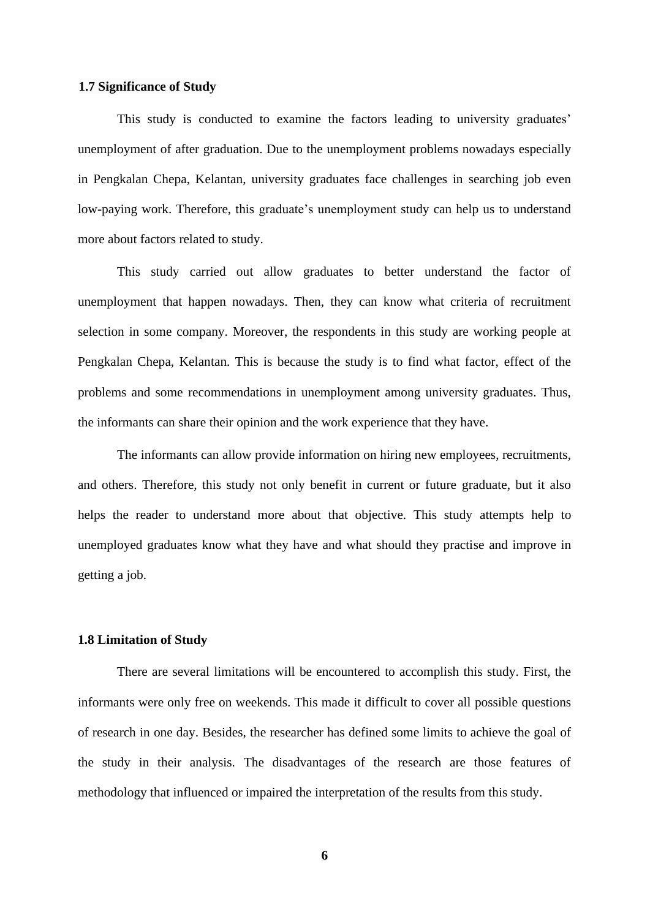#### <span id="page-18-0"></span>**1.7 Significance of Study**

This study is conducted to examine the factors leading to university graduates' unemployment of after graduation. Due to the unemployment problems nowadays especially in Pengkalan Chepa, Kelantan, university graduates face challenges in searching job even low-paying work. Therefore, this graduate's unemployment study can help us to understand more about factors related to study.

This study carried out allow graduates to better understand the factor of unemployment that happen nowadays. Then, they can know what criteria of recruitment selection in some company. Moreover, the respondents in this study are working people at Pengkalan Chepa, Kelantan. This is because the study is to find what factor, effect of the problems and some recommendations in unemployment among university graduates. Thus, the informants can share their opinion and the work experience that they have.

The informants can allow provide information on hiring new employees, recruitments, and others. Therefore, this study not only benefit in current or future graduate, but it also helps the reader to understand more about that objective. This study attempts help to unemployed graduates know what they have and what should they practise and improve in getting a job.

#### <span id="page-18-1"></span>**1.8 Limitation of Study**

There are several limitations will be encountered to accomplish this study. First, the informants were only free on weekends. This made it difficult to cover all possible questions of research in one day. Besides, the researcher has defined some limits to achieve the goal of the study in their analysis. The disadvantages of the research are those features of methodology that influenced or impaired the interpretation of the results from this study.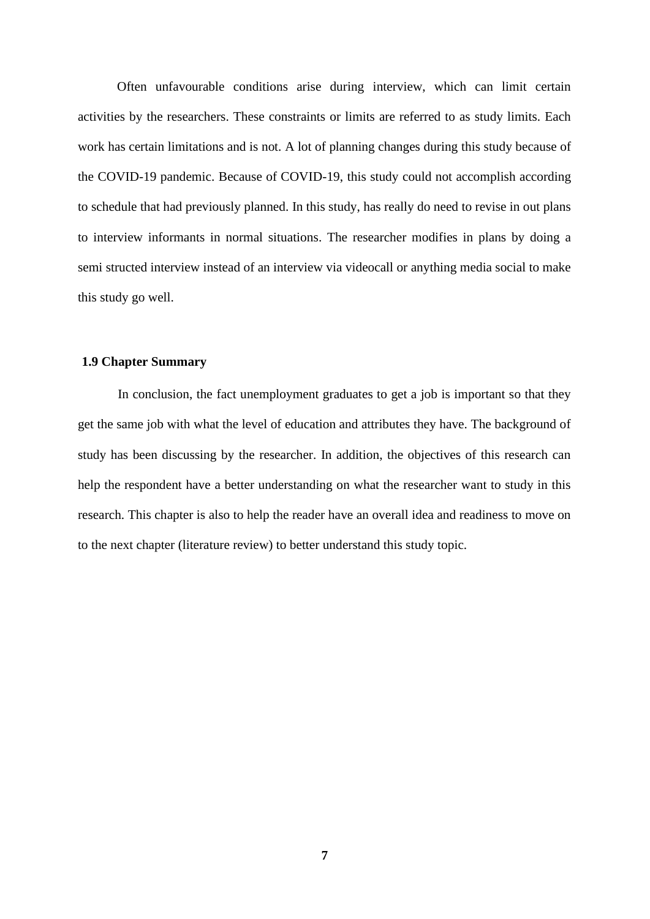Often unfavourable conditions arise during interview, which can limit certain activities by the researchers. These constraints or limits are referred to as study limits. Each work has certain limitations and is not. A lot of planning changes during this study because of the COVID-19 pandemic. Because of COVID-19, this study could not accomplish according to schedule that had previously planned. In this study, has really do need to revise in out plans to interview informants in normal situations. The researcher modifies in plans by doing a semi structed interview instead of an interview via videocall or anything media social to make this study go well.

#### <span id="page-19-0"></span>**1.9 Chapter Summary**

In conclusion, the fact unemployment graduates to get a job is important so that they get the same job with what the level of education and attributes they have. The background of study has been discussing by the researcher. In addition, the objectives of this research can help the respondent have a better understanding on what the researcher want to study in this research. This chapter is also to help the reader have an overall idea and readiness to move on to the next chapter (literature review) to better understand this study topic.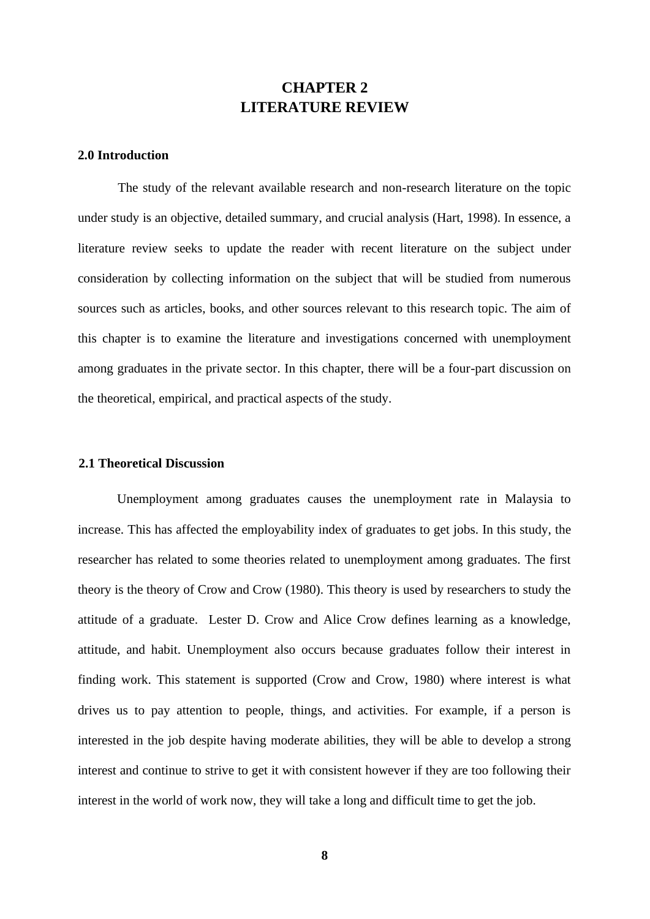## **CHAPTER 2 LITERATURE REVIEW**

### <span id="page-20-1"></span><span id="page-20-0"></span>**2.0 Introduction**

The study of the relevant available research and non-research literature on the topic under study is an objective, detailed summary, and crucial analysis (Hart, 1998). In essence, a literature review seeks to update the reader with recent literature on the subject under consideration by collecting information on the subject that will be studied from numerous sources such as articles, books, and other sources relevant to this research topic. The aim of this chapter is to examine the literature and investigations concerned with unemployment among graduates in the private sector. In this chapter, there will be a four-part discussion on the theoretical, empirical, and practical aspects of the study.

#### <span id="page-20-2"></span>**2.1 Theoretical Discussion**

Unemployment among graduates causes the unemployment rate in Malaysia to increase. This has affected the employability index of graduates to get jobs. In this study, the researcher has related to some theories related to unemployment among graduates. The first theory is the theory of Crow and Crow (1980). This theory is used by researchers to study the attitude of a graduate. Lester D. Crow and Alice Crow defines learning as a knowledge, attitude, and habit. Unemployment also occurs because graduates follow their interest in finding work. This statement is supported (Crow and Crow, 1980) where interest is what drives us to pay attention to people, things, and activities. For example, if a person is interested in the job despite having moderate abilities, they will be able to develop a strong interest and continue to strive to get it with consistent however if they are too following their interest in the world of work now, they will take a long and difficult time to get the job.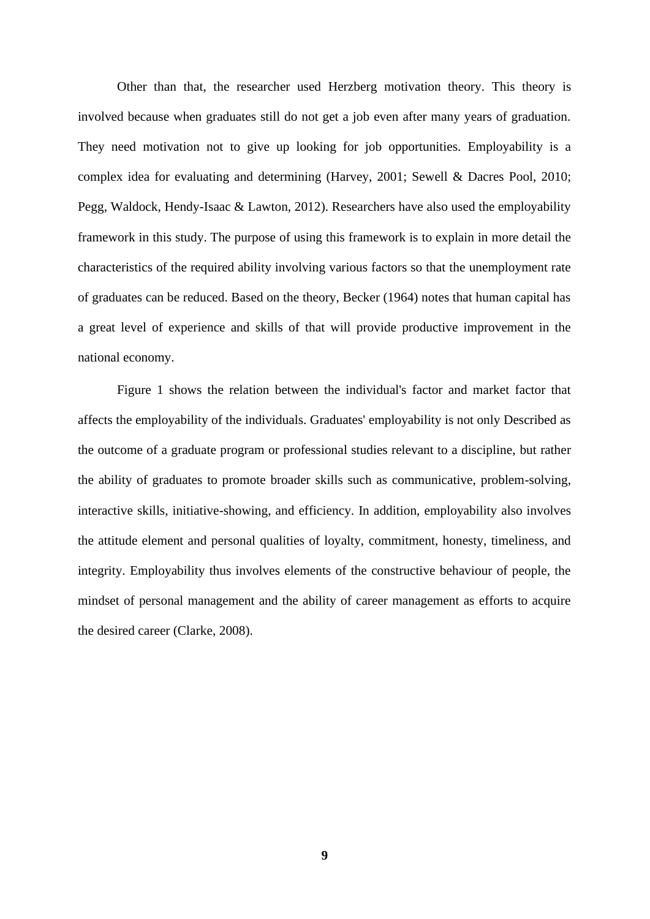Other than that, the researcher used Herzberg motivation theory. This theory is involved because when graduates still do not get a job even after many years of graduation. They need motivation not to give up looking for job opportunities. Employability is a complex idea for evaluating and determining (Harvey, 2001; Sewell & Dacres Pool, 2010; Pegg, Waldock, Hendy-Isaac & Lawton, 2012). Researchers have also used the employability framework in this study. The purpose of using this framework is to explain in more detail the characteristics of the required ability involving various factors so that the unemployment rate of graduates can be reduced. Based on the theory, Becker (1964) notes that human capital has a great level of experience and skills of that will provide productive improvement in the national economy.

Figure 1 shows the relation between the individual's factor and market factor that affects the employability of the individuals. Graduates' employability is not only Described as the outcome of a graduate program or professional studies relevant to a discipline, but rather the ability of graduates to promote broader skills such as communicative, problem-solving, interactive skills, initiative-showing, and efficiency. In addition, employability also involves the attitude element and personal qualities of loyalty, commitment, honesty, timeliness, and integrity. Employability thus involves elements of the constructive behaviour of people, the mindset of personal management and the ability of career management as efforts to acquire the desired career (Clarke, 2008).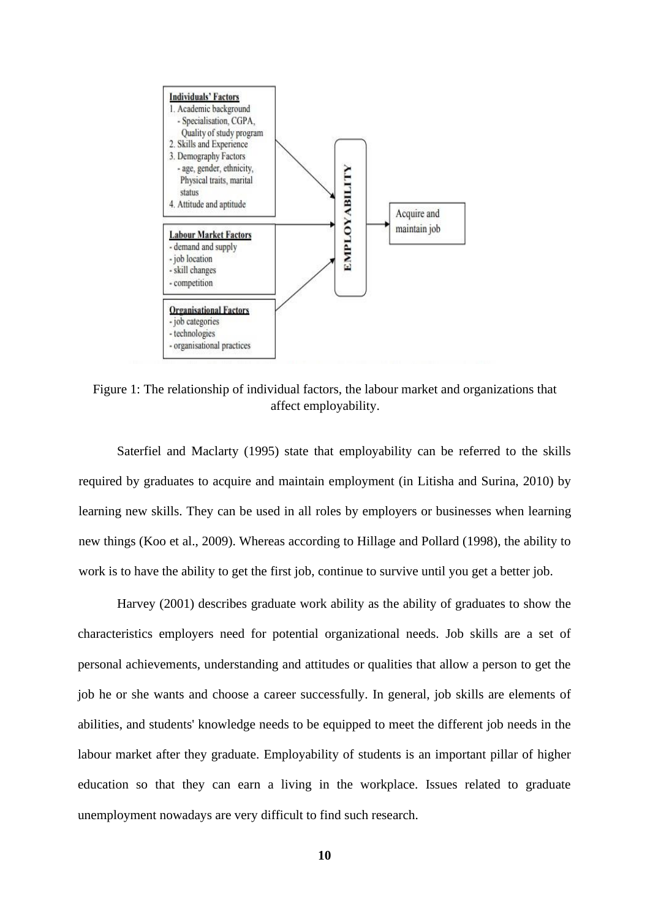

<span id="page-22-0"></span>Figure 1: The relationship of individual factors, the labour market and organizations that affect employability.

Saterfiel and Maclarty (1995) state that employability can be referred to the skills required by graduates to acquire and maintain employment (in Litisha and Surina, 2010) by learning new skills. They can be used in all roles by employers or businesses when learning new things (Koo et al., 2009). Whereas according to Hillage and Pollard (1998), the ability to work is to have the ability to get the first job, continue to survive until you get a better job.

Harvey (2001) describes graduate work ability as the ability of graduates to show the characteristics employers need for potential organizational needs. Job skills are a set of personal achievements, understanding and attitudes or qualities that allow a person to get the job he or she wants and choose a career successfully. In general, job skills are elements of abilities, and students' knowledge needs to be equipped to meet the different job needs in the labour market after they graduate. Employability of students is an important pillar of higher education so that they can earn a living in the workplace. Issues related to graduate unemployment nowadays are very difficult to find such research.